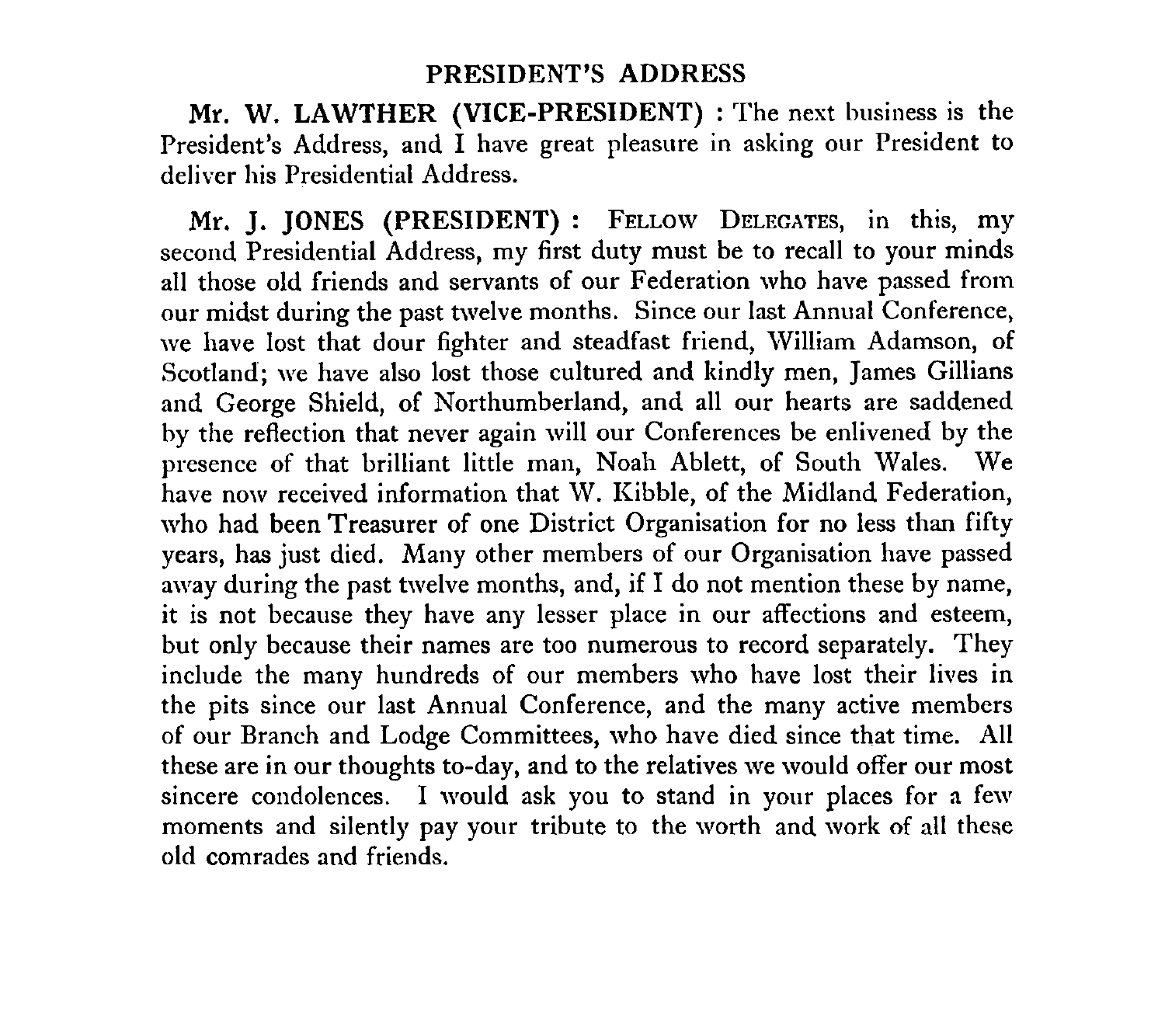**Mr. W. LAWTHER (VICE-PRESIDENT)** : The next business is the President's Address, and I have great pleasure in asking our President to deliver his Presidential Address.

**Mr. J. JONES (PRESIDENT)** : FELLOW DELEGATES, in this, my second Presidential Address, my first duty must be to recall to your minds all those old friends and servants of our Federation who have passed from our midst during the past twelve months. Since our last Annual Conference, we have lost that dour fighter and steadfast friend, William Adamson, of Scotland; we have also lost those cultured and kindly men, James Gillians and George Shield, of Northumberland, and all our hearts are saddened by the reflection that never again will our Conferences be enlivened by the presence of that brilliant little man, Noah Ablett, of South Wales. We have now received information that W. Kibble, of the Midland Federation, who had been Treasurer of one District Organisation for no less than fifty years, has just died. Many other members of our Organisation have passed away during the past twelve months, and, if I do not mention these by name, it is not because they have any lesser place in our affections and esteem, but only because their names are too numerous to record separately. They include the many hundreds of our members who have lost their lives in the pits since our last Annual Conference, and the many active members of our Branch and Lodge Committees, who have died since that time. All these are in our thoughts to-day, and to the relatives we would offer our most sincere condolences. I would ask you to stand in your places for a few moments and silently pay your tribute to the worth and work of all these old comrades and friends.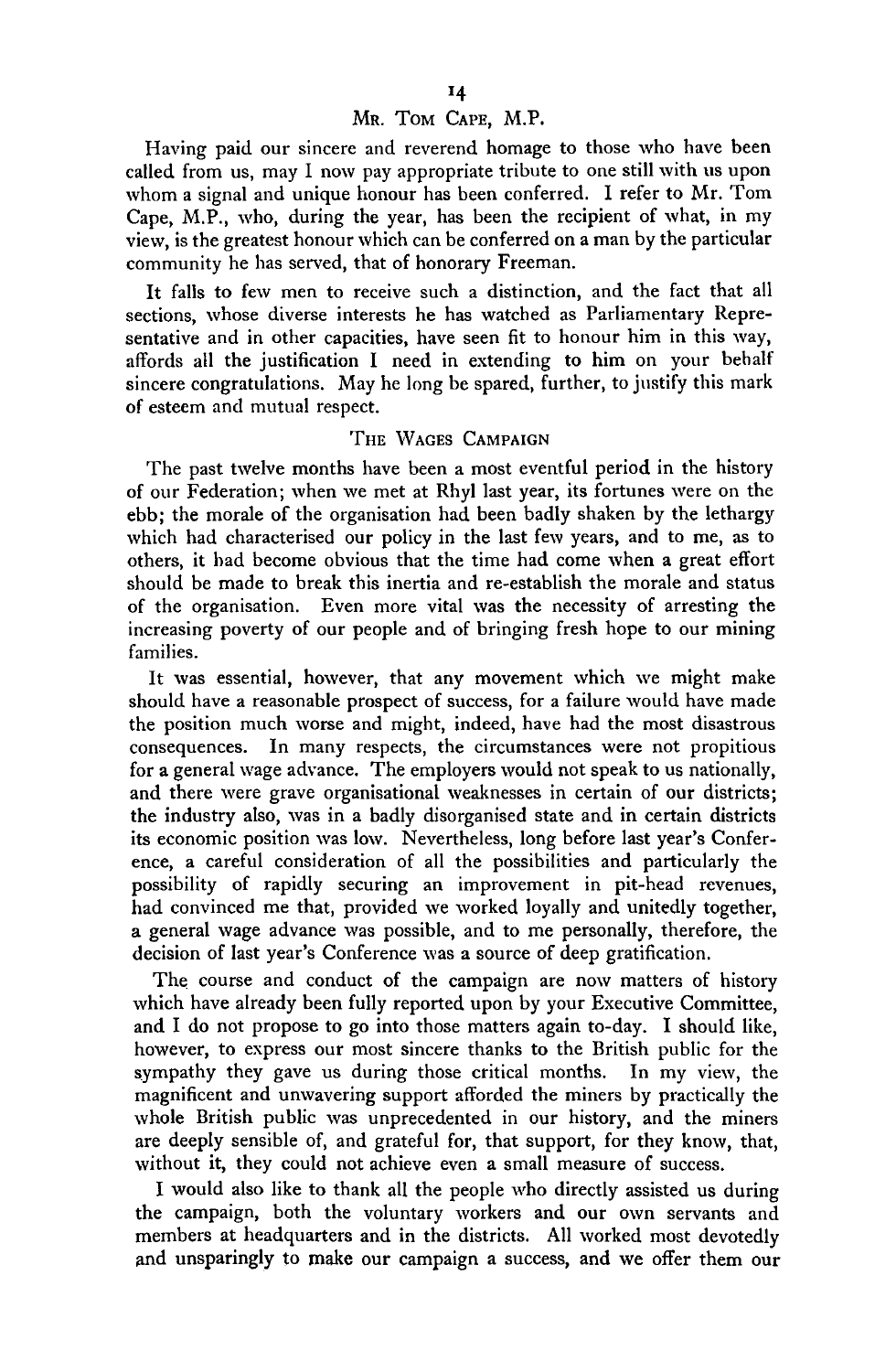## MR. TOM CAPE, M.P.

Having paid our sincere and reverend homage to those who have been called from us, may I now pay appropriate tribute to one still with us upon whom a signal and unique honour has been conferred. I refer to Mr. Tom Cape, M.P., who, during the year, has been the recipient of what, in my view, is the greatest honour which can be conferred on a man by the particular community he has served, that of honorary Freeman.

It falls to few men to receive such a distinction, and the fact that all sections, whose diverse interests he has watched as Parliamentary Representative and in other capacities, have seen fit to honour him in this way, affords all the justification I need in extending to him on your behalf sincere congratulations. May he long be spared, further, to justify this mark of esteem and mutual respect.

#### THE WAGES CAMPAIGN

The past twelve months have been a most eventful period in the history of our Federation; when we met at Rhyl last year, its fortunes were on the ebb; the morale of the organisation had been badly shaken by the lethargy which had characterised our policy in the last few years, and to me, as to others, it had become obvious that the time had come when a great effort should be made to break this inertia and re-establish the morale and status of the organisation. Even more vital was the necessity of arresting the increasing poverty of our people and of bringing fresh hope to our mining families.

It was essential, however, that any movement which we might make should have a reasonable prospect of success, for a failure would have made the position much worse and might, indeed, have had the most disastrous consequences. In many respects, the circumstances were not propitious for a general wage advance. The employers would not speak to us nationally, and there were grave organisational weaknesses in certain of our districts; the industry also, was in a badly disorganised state and in certain districts its economic position was low. Nevertheless, long before last year's Conference, a careful consideration of all the possibilities and particularly the possibility of rapidly securing an improvement in pit-head revenues, had convinced me that, provided we worked loyally and unitedly together, a general wage advance was possible, and to me personally, therefore, the decision of last year's Conference was a source of deep gratification.

The course and conduct of the campaign are now matters of history which have already been fully reported upon by your Executive Committee, and I do not propose to go into those matters again to-day. I should like, however, to express our most sincere thanks to the British public for the sympathy they gave us during those critical months. In my view, the magnificent and unwavering support afforded the miners by practically the whole British public was unprecedented in our history, and the miners are deeply sensible of, and grateful for, that support, for they know, that, without it, they could not achieve even a small measure of success.

I would also like to thank all the people who directly assisted us during the campaign, both the voluntary workers and our own servants and members at headquarters and in the districts. All worked most devotedly and unsparingly to make our campaign a success, and we offer them our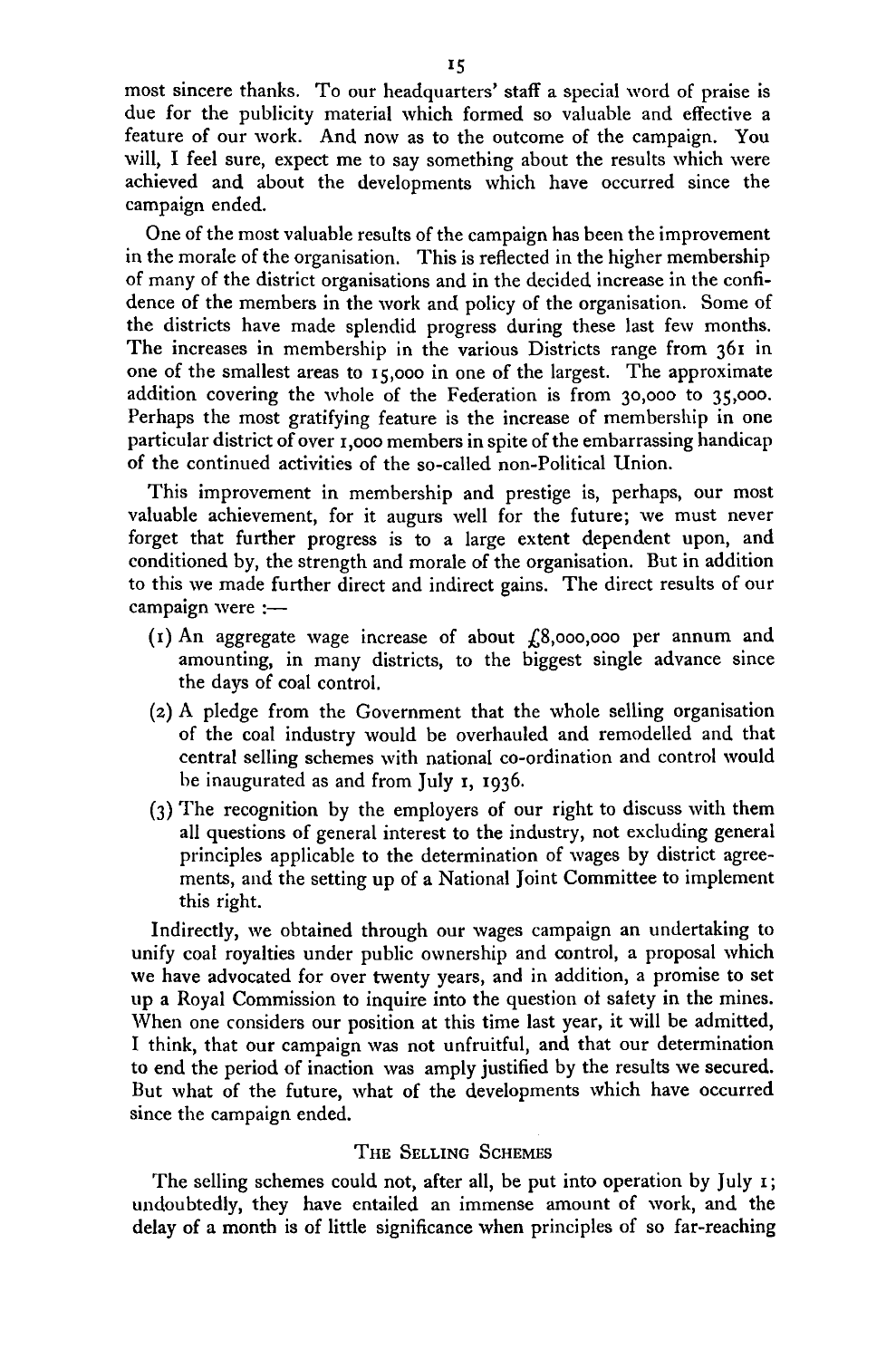most sincere thanks. To our headquarters' staff a special word of praise is due for the publicity material which formed so valuable and effective a feature of our work. And now as to the outcome of the campaign. You will, I feel sure, expect me to say something about the results which were achieved and about the developments which have occurred since the campaign ended.

One of the most valuable results of the campaign has been the improvement in the morale of the organisation. This is reflected in the higher membership of many of the district organisations and in the decided increase in the confidence of the members in the work and policy of the organisation. Some of the districts have made splendid progress during these last few months. The increases in membership in the various Districts range from 361 in one of the smallest areas to 15,000 in one of the largest. The approximate addition covering the whole of the Federation is from 30,000 to 35,000. Perhaps the most gratifying feature is the increase of membership in one particular district of over 1,000 members in spite of the embarrassing handicap of the continued activities of the so-called non-Political Union.

This improvement in membership and prestige is, perhaps, our most valuable achievement, for it augurs well for the future; we must never forget that further progress is to a large extent dependent upon, and conditioned by, the strength and morale of the organisation. But in addition to this we made further direct and indirect gains. The direct results of our campaign were  $:=$ 

- (1) An aggregate wage increase of about  $f_0$ 8,000,000 per annum and amounting, in many districts, to the biggest single advance since the days of coal control.
- (a) A pledge from the Government that the whole selling organisation of the coal industry would be overhauled and remodelled and that central selling schemes with national co-ordination and control would he inaugurated as and from July **i,** 1936.
- (3) The recognition by the employers of our right to discuss with them all questions of general interest to the industry, not excluding general principles applicable to the determination of wages by district agreements, and the setting up of a National Joint Committee to implement this right.

Indirectly, we obtained through our wages campaign an undertaking to unify coal royalties under public ownership and control, a proposal which we have advocated for over twenty years, and in addition, a promise to set up a Royal Commission to inquire into the question of safety in the mines. When one considers our position at this time last year, it will be admitted, I think, that our campaign was not unfruitful, and that our determination to end the period of inaction was amply justified by the results we secured. But what of the future, what of the developments which have occurred since the campaign ended.

# THE SELLING SCHEMES

The selling schemes could not, after all, be put into operation by July 1; undoubtedly, they have entailed an immense amount of work, and the delay of a month is of little significance when principles of so far-reaching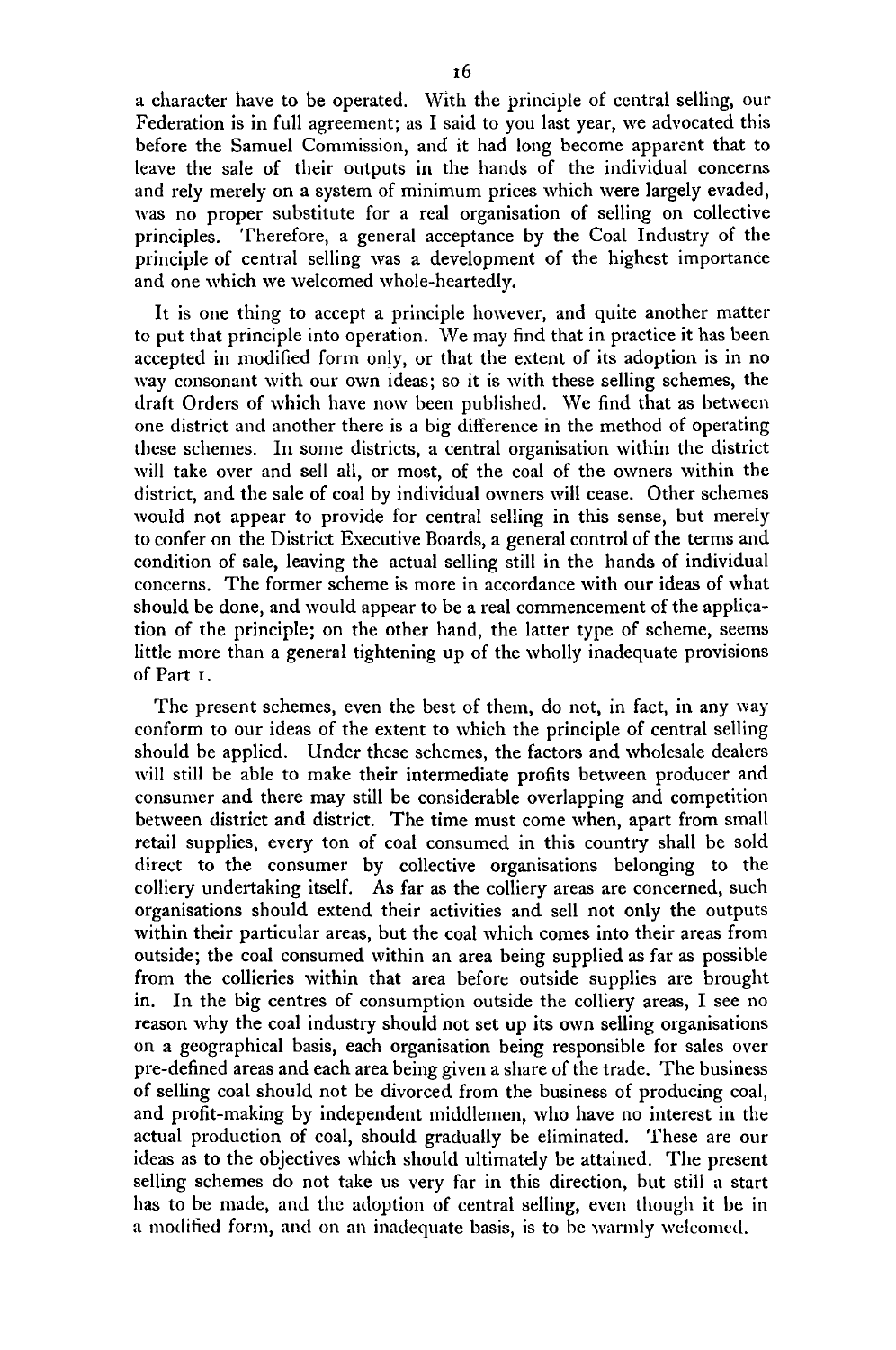a character have to be operated. With the principle of central selling, our Federation is in full agreement; as I said to you last year, we advocated this before the Samuel Commission, and it had long become apparent that to leave the sale of their outputs in the hands of the individual concerns and rely merely on a system of minimum prices which were largely evaded, was no proper substitute for a real organisation of selling on collective principles. Therefore, a general acceptance by the Coal Industry of the principle of central selling was a development of the highest importance and one which we welcomed whole-heartedly.

It is one thing to accept a principle however, and quite another matter to put that principle into operation. We may find that in practice it has been accepted in modified form only, or that the extent of its adoption is in no way consonant with our own ideas; so it is with these selling schemes, the draft Orders of which have now been published. We find that as between one district and another there is a big difference in the method of operating these schemes. In some districts, a central organisation within the district will take over and sell all, or most, of the coal of the owners within the district, and the sale of coal by individual owners will cease. Other schemes 'would not appear to provide for central selling in this sense, but merely to confer on the District Executive Boards, a general control of the terms and condition of sale, leaving the actual selling still in the hands of individual concerns. The former scheme is more in accordance with our ideas of what should be done, and would appear to be a real commencement of the application of the principle; on the other hand, the latter type of scheme, seems little more than a general tightening up of the wholly inadequate provisions of Part i.

The present schemes, even the best of them, do not, in fact, in any way conform to our ideas of the extent to which the principle of central selling should be applied. Under these schemes, the factors and wholesale dealers will still be able to make their intermediate profits between producer and consumer and there may still be considerable overlapping and competition between district and district. The time must come when, apart from small retail supplies, every ton of coal consumed in this country shall be sold direct to the consumer by collective organisations belonging to the colliery undertaking itself. As far as the colliery areas are concerned, such organisations should extend their activities and sell not only the outputs within their particular areas, but the coal which comes into their areas from outside; the coal consumed within an area being supplied as far as possible from the collieries within that area before outside supplies are brought in. In the big centres of consumption outside the colliery areas, I see no reason why the coal industry should not set up its own selling organisations on a geographical basis, each organisation being responsible for sales over pre-defined areas and each area being given a share of the trade. The business of selling coal should not be divorced from the business of producing coal, and profit-making by independent middlemen, who have no interest in the actual production of coal, should gradually be eliminated. These are our ideas as to the objectives which should ultimately be attained. The present selling schemes do not take us very far in this direction, but still a start has to be made, and the adoption of central selling, even though it be in a modified form, and on an inadequate basis, is to he warmly welcomed.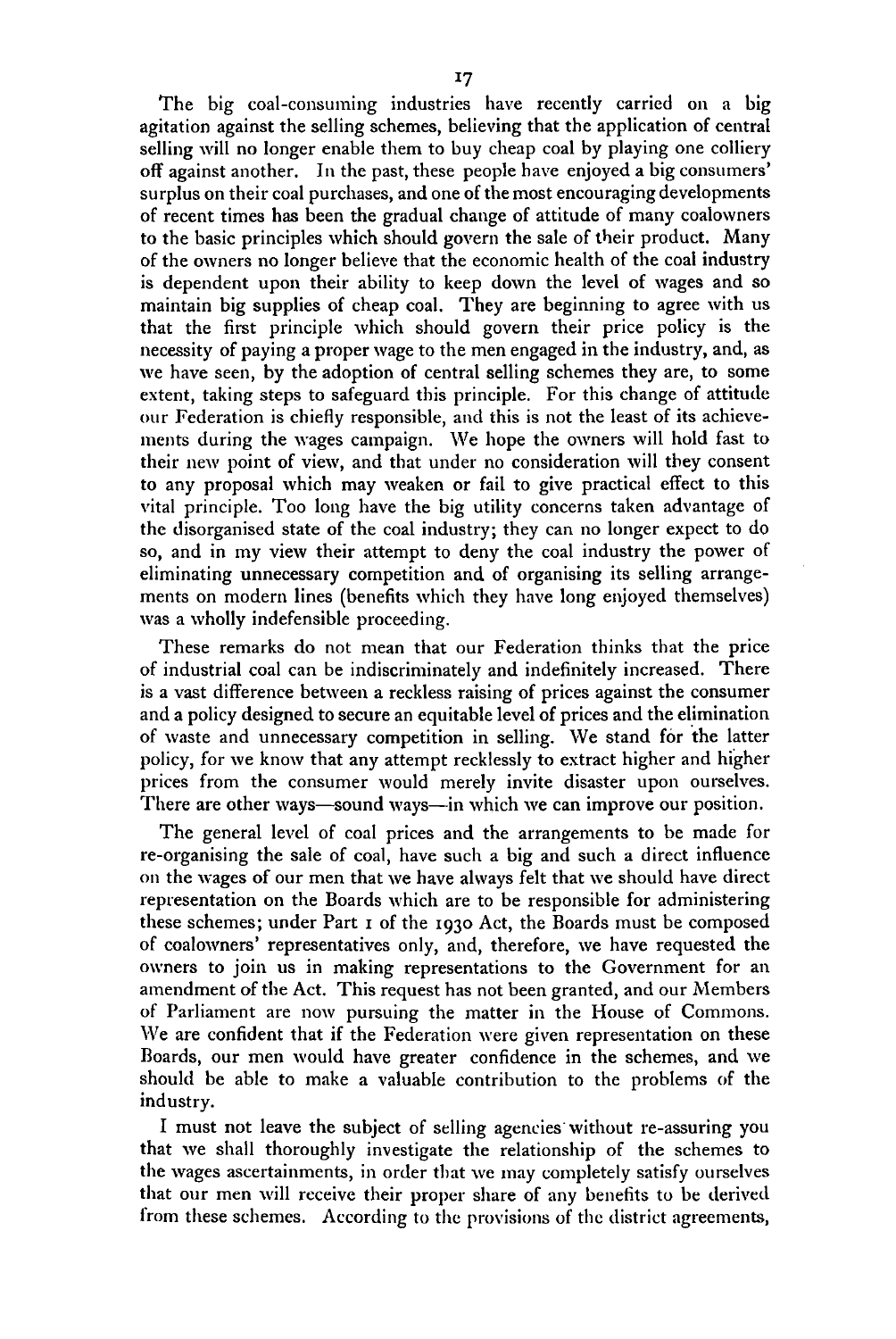The big coal-consuming industries have recently carried on a big agitation against the selling schemes, believing that the application of central selling will no longer enable them to buy cheap coal by playing one colliery off against another. In the past, these people have enjoyed a big consumers' surplus on their coal purchases, and one of the most encouraging developments of recent times has been the gradual change of attitude of many coalowners to the basic principles which should govern the sale of their product. Many of the owners no longer believe that the economic health of the coal industry is dependent upon their ability to keep down the level of wages and so maintain big supplies of cheap coal. They are beginning to agree with us that the first principle which should govern their price policy is the necessity of paying a proper wage to the men engaged in the industry, and, as we have seen, by the adoption of central selling schemes they are, to some extent, taking steps to safeguard this principle. For this change of attitude our Federation is chiefly responsible, and this is not the least of its achievements during the wages campaign. We hope the owners will hold fast to their new point of view, and that under no consideration will they consent to any proposal which may weaken or fail to give practical effect to this vital principle. Too long have the big utility concerns taken advantage of the disorganised state of the coal industry; they can no longer expect to do so, and in my view their attempt to deny the coal industry the power of eliminating unnecessary competition and of organising its selling arrangements on modern lines (benefits which they have long enjoyed themselves) was a wholly indefensible proceeding.

These remarks do not mean that our Federation thinks that the price of industrial coal can be indiscriminately and indefinitely increased. There is a vast difference between a reckless raising of prices against the consumer and a policy designed to secure an equitable level of prices and the elimination of waste and unnecessary competition in selling. We stand for the latter policy, for we know that any attempt recklessly to extract higher and higher prices from the consumer would merely invite disaster upon ourselves. There are other ways—sound ways—in which we can improve our position.

The general level of coal prices and the arrangements to be made for re-organising the sale of coal, have such a big and such a direct influence on the wages of our men that we have always felt that we should have direct representation on the Boards which are to be responsible for administering these schemes; under Part i of the 1930 Act, the Boards must be composed of coalowners' representatives only, and, therefore, we have requested the owners to join us in making representations to the Government for an amendment of the Act. This request has not been granted, and our Members of Parliament are now pursuing the matter in the House of Commons. We are confident that if the Federation were given representation on these Boards, our men would have greater confidence in the schemes, and we should be able to make a valuable contribution to the problems of the industry.

I must not leave the subject of selling agencies without re-assuring you that we shall thoroughly investigate the relationship of the schemes to the wages ascertainments, in order that we may completely satisfy ourselves that our men will receive their proper share of any benefits to be derived from these schemes. According to the provisions of the district agreements,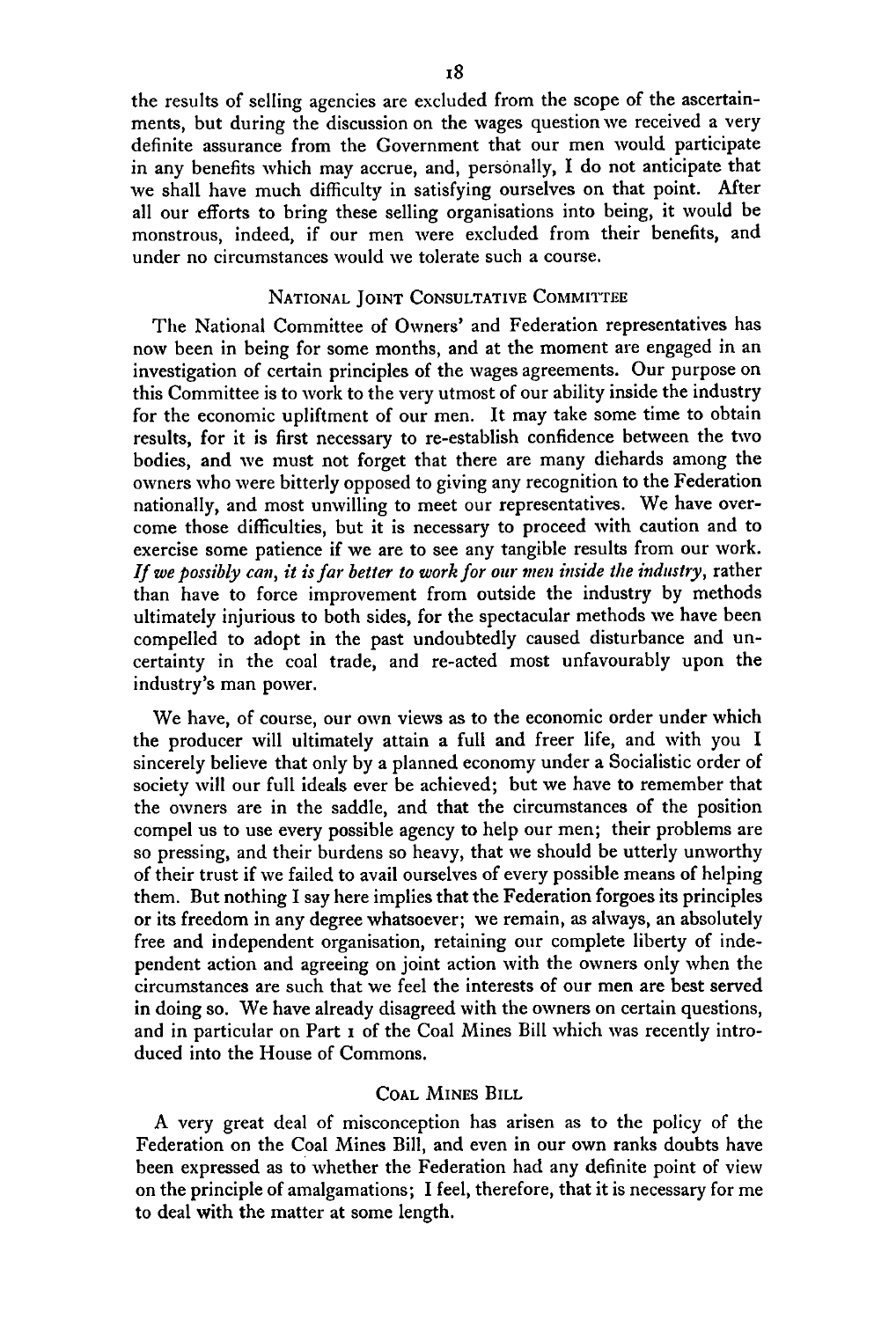the results of selling agencies are excluded from the scope of the ascertainments, but during the discussion on the wages question we received a very definite assurance from the Government that our men would participate in any benefits which may accrue, and, personally, I do not anticipate that we shall have much difficulty in satisfying ourselves on that point. After all our efforts to bring these selling organisations into being, it would be monstrous, indeed, if our men were excluded from their benefits, and under no circumstances would we tolerate such a course.

## NATIONAL JOINT CONSULTATIVE COMMITTEE

The National Committee of Owners' and Federation representatives has now been in being for some months, and at the moment are engaged in an investigation of certain principles of the wages agreements. Our purpose on this Committee is to work to the very utmost of our ability inside the industry for the economic upliftment of our men. It may take some time to obtain results, for it is first necessary to re-establish confidence between the two bodies, and we must not forget that there are many diehards among the owners who were bitterly opposed to giving any recognition to the Federation nationally, and most unwilling to meet our representatives. We have overcome those difficulties, but it is necessary to proceed with caution and to exercise some patience if we are to see any tangible results from our work. *If we possibly can, it is far better to work for our men inside the industry,* rather than have to force improvement from outside the industry by methods ultimately injurious to both sides, for the spectacular methods we have been compelled to adopt in the past undoubtedly caused disturbance and uncertainty in the coal trade, and re-acted most unfavourably upon the industry's man power.

We have, of course, our own views as to the economic order under which the producer will ultimately attain a full and freer life, and with you I sincerely believe that only by a planned economy under a Socialistic order of society will our full ideals ever be achieved; but we have to remember that the owners are in the saddle, and that the circumstances of the position compel us to use every possible agency to help our men; their problems are so pressing, and their burdens so heavy, that we should be utterly unworthy of their trust if we failed to avail ourselves of every possible means of helping them. But nothing I say here implies that the Federation forgoes its principles or its freedom in any degree whatsoever; we remain, as always, an absolutely free and independent organisation, retaining our complete liberty of independent action and agreeing on joint action with the owners only when the circumstances are such that we feel the interests of our men are best served in doing so. We have already disagreed with the owners on certain questions, and in particular on Part i of the Coal Mines Bill which was recently introduced into the House of Commons.

## COAL MINES BILL

A very great deal of misconception has arisen as to the policy of the Federation on the Coal Mines Bill, and even in our own ranks doubts have been expressed as to whether the Federation had any definite point of view on the principle of amalgamations; I feel, therefore, that it is necessary for me to deal with the matter at some length.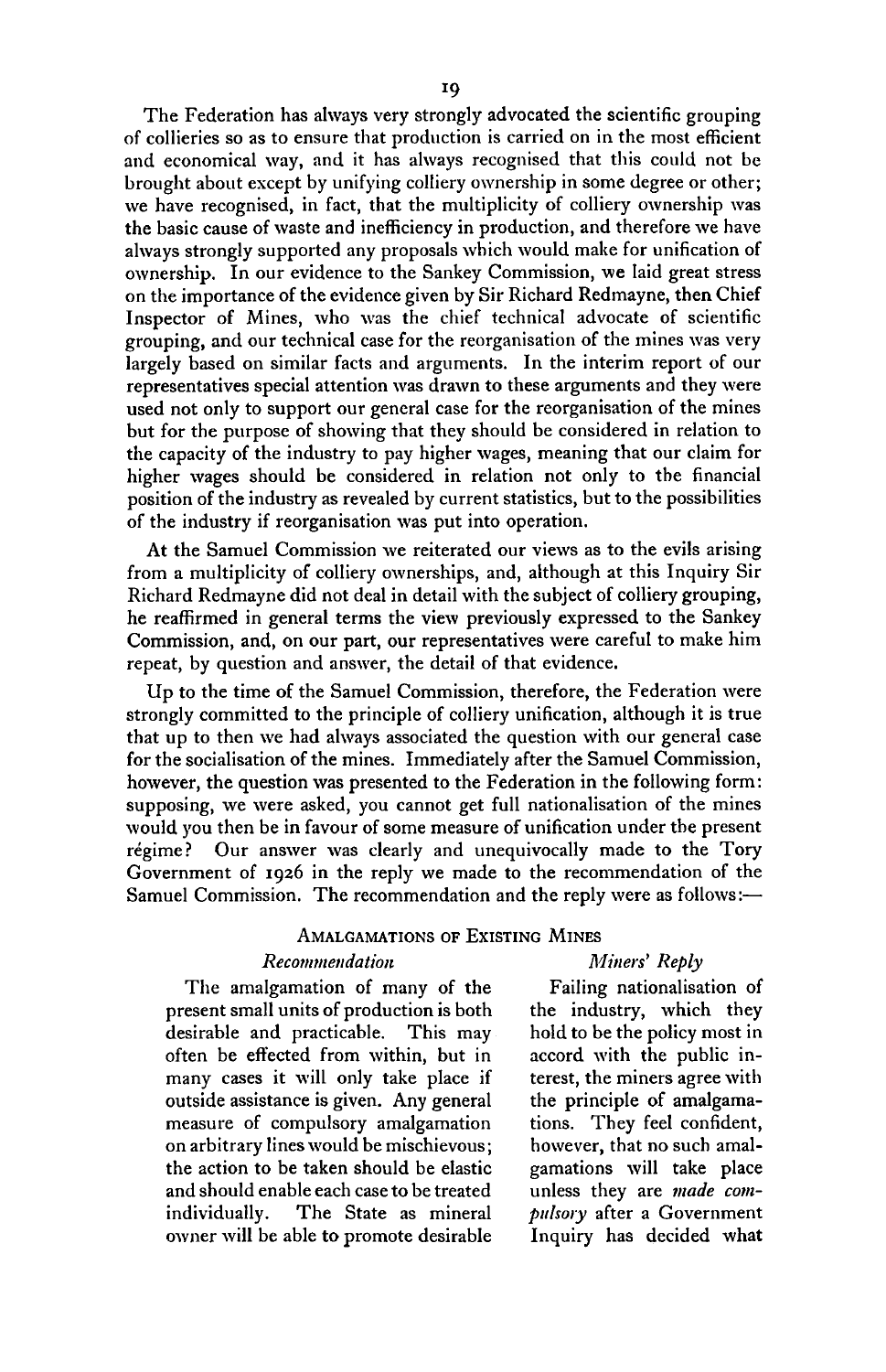The Federation has always very strongly advocated the scientific grouping of collieries so as to ensure that production is carried on in the most efficient and economical way, and it has always recognised that this could not be brought about except by unifying colliery ownership in some degree or other; we have recognised, in fact, that the multiplicity of colliery ownership was the basic cause of waste and inefficiency in production, and therefore we have always strongly supported any proposals which would make for unification of ownership. In our evidence to the Sankey Commission, we laid great stress on the importance of the evidence given by Sir Richard Redmayne, then Chief Inspector of Mines, who was the chief technical advocate of scientific grouping, and our technical case for the reorganisation of the mines was very largely based on similar facts and arguments. In the interim report of our representatives special attention was drawn to these arguments and they were used not only to support our general case for the reorganisation of the mines but for the purpose of showing that they should be considered in relation to the capacity of the industry to pay higher wages, meaning that our claim for higher wages should be considered in relation not only to the financial position of the industry as revealed by current statistics, but to the possibilities of the industry if reorganisation was put into operation.

At the Samuel Commission we reiterated our views as to the evils arising from a multiplicity of colliery ownerships, and, although at this Inquiry Sir Richard Redmayne did not deal in detail with the subject of colliery grouping, he reaffirmed in general terms the view previously expressed to the Sankey Commission, and, on our part, our representatives were careful to make him repeat, by question and answer, the detail of that evidence.

Up to the time of the Samuel Commission, therefore, the Federation were strongly committed to the principle of colliery unification, although it is true that up to then we had always associated the question with our general case for the socialisation of the mines. Immediately after the Samuel Commission, however, the question was presented to the Federation in the following form: supposing, we were asked, you cannot get full nationalisation of the mines would you then be in favour of some measure of unification under the present régime? Our answer was clearly and unequivocally made to the Tory Government of 1926 in the reply we made to the recommendation of the Samuel Commission. The recommendation and the reply were as follows:—

#### AMALGAMATIONS OF EXISTING MINES

## *Recommendation*

# *]l'Iiners' Reply*

The amalgamation of many of the present small units of production is both desirable and practicable. This may often be effected from within, but in many cases it will only take place if outside assistance is given. Any general measure of compulsory amalgamation on arbitrary lines would be mischievous; the action to be taken should be elastic and should enable each case to be treated individually. The State as mineral owner will be able to promote desirable

Failing nationalisation of the industry, which they hold to be the policy most in accord with the public interest, the miners agree with the principle of amalgamations. They feel confident, however, that no such amalgamations will take place unless they are *made* com $pulsory$  after a Government Inquiry has decided what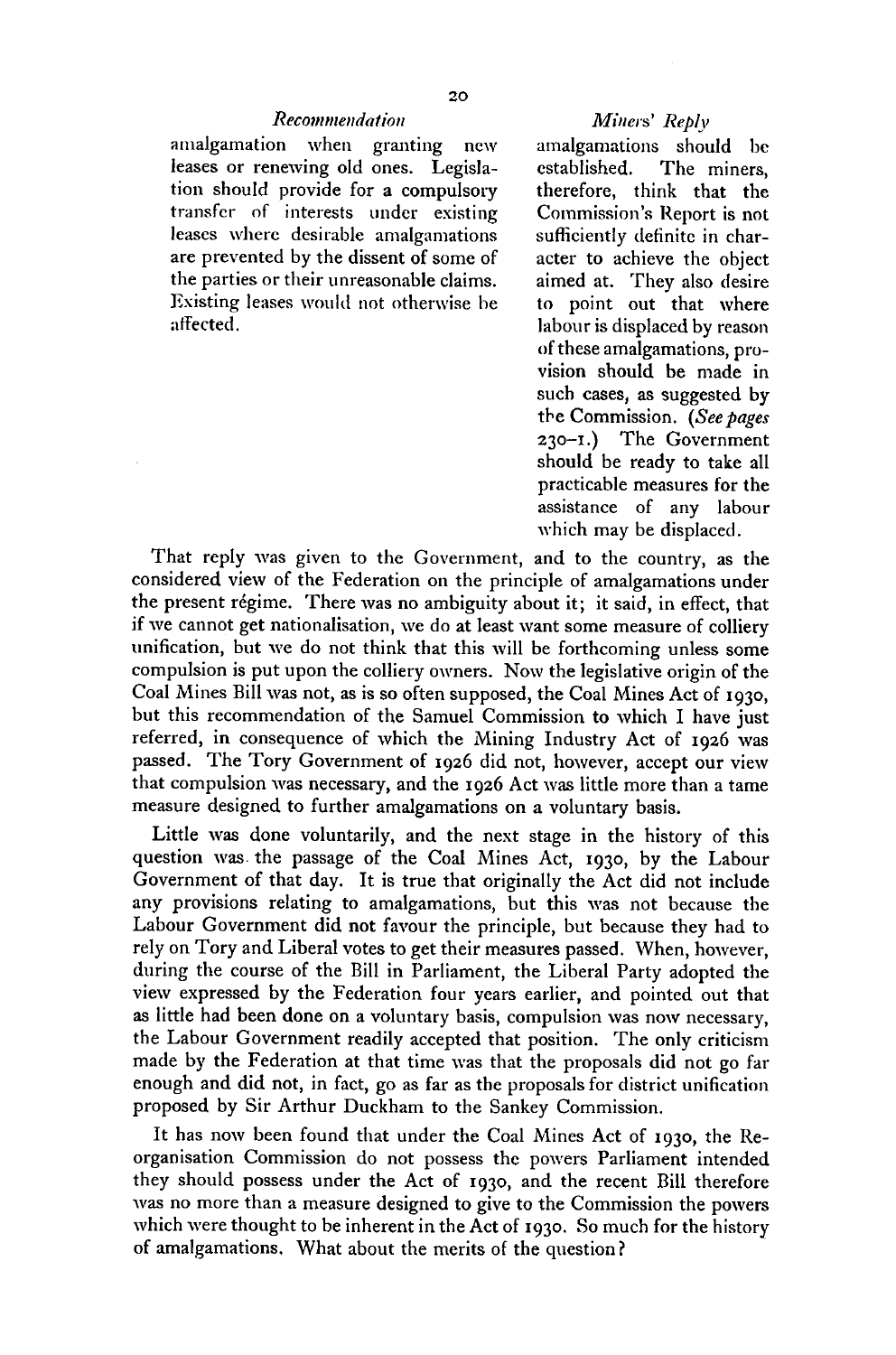## *Reconnnendafjo,i Miners' Rep/v*

amalgamation when granting new amalgamations should be leases or renewing old ones. Legisla- established. The miners,<br>tion should provide for a compulsory therefore, think that the tion should provide for a compulsory therefore, think that the transfer of interests under existing Commission's Report is not transfer of interests under existing Commission's Report is not leases where desirable amalgamations sufficiently definite in char-<br>are prevented by the dissent of some of acter to achieve the object are prevented by the dissent of some of acter to achieve the object<br>the parties or their unreasonable claims. aimed at. They also desire the parties or their unreasonable claims. aimed at. They also desire<br>Existing leases would not otherwise be to point out that where Existing leases would not otherwise be affected.

labour is displaced by reason of these amalgamations, provision should be made in such cases, as suggested by the Commission. *(Seepages*  230—I.) The Government should be ready to take all practicable measures for the assistance of any labour which may be displaced.

That reply was given to the Government, and to the country, as the considered view of the Federation on the principle of amalgamations under the present régime. There was no ambiguity about it; it said, in effect, that if we cannot get nationalisation, we do at least want some measure of colliery unification, but we do not think that this will be forthcoming unless some compulsion is put upon the colliery owners. Now the legislative origin of the Coal Mines Bill was not, as is so often supposed, the Coal Mines Act of 1930, but this recommendation of the Samuel Commission to which I have just referred, in consequence of which the Mining Industry Act of 1926 was passed. The Tory Government of 1926 did not, however, accept our view that compulsion was necessary, and the 1926 Act was little more than a tame measure designed to further amalgamations on a voluntary basis.

Little was done voluntarily, and the next stage in the history of this question was. the passage of the Coal Mines Act, 1930, by the Labour Government of that day. It is true that originally the Act did not include any provisions relating to amalgamations, but this was not because the Labour Government did not favour the principle, but because they had to rely on Tory and Liberal votes to get their measures passed. When, however, during the course of the Bill in Parliament, the Liberal Party adopted the view expressed by the Federation four years earlier, and pointed out that as little had been done on a voluntary basis, compulsion was now necessary, the Labour Government readily accepted that position. The only criticism made by the Federation at that time was that the proposals did not go far enough and did not, in fact, go as far as the proposals for district unification proposed by Sir Arthur Duckham to the Sankey Commission.

It has now been found that under the Coal Mines Act of 1930, the Reorganisation Commission do not possess the powers Parliament intended they should possess under the Act of 1930, and the recent Bill therefore was no more than a measure designed to give to the Commission the powers which were thought to be inherent in the Act of 1930. So much for the history of amalgamations. What about the merits of the question?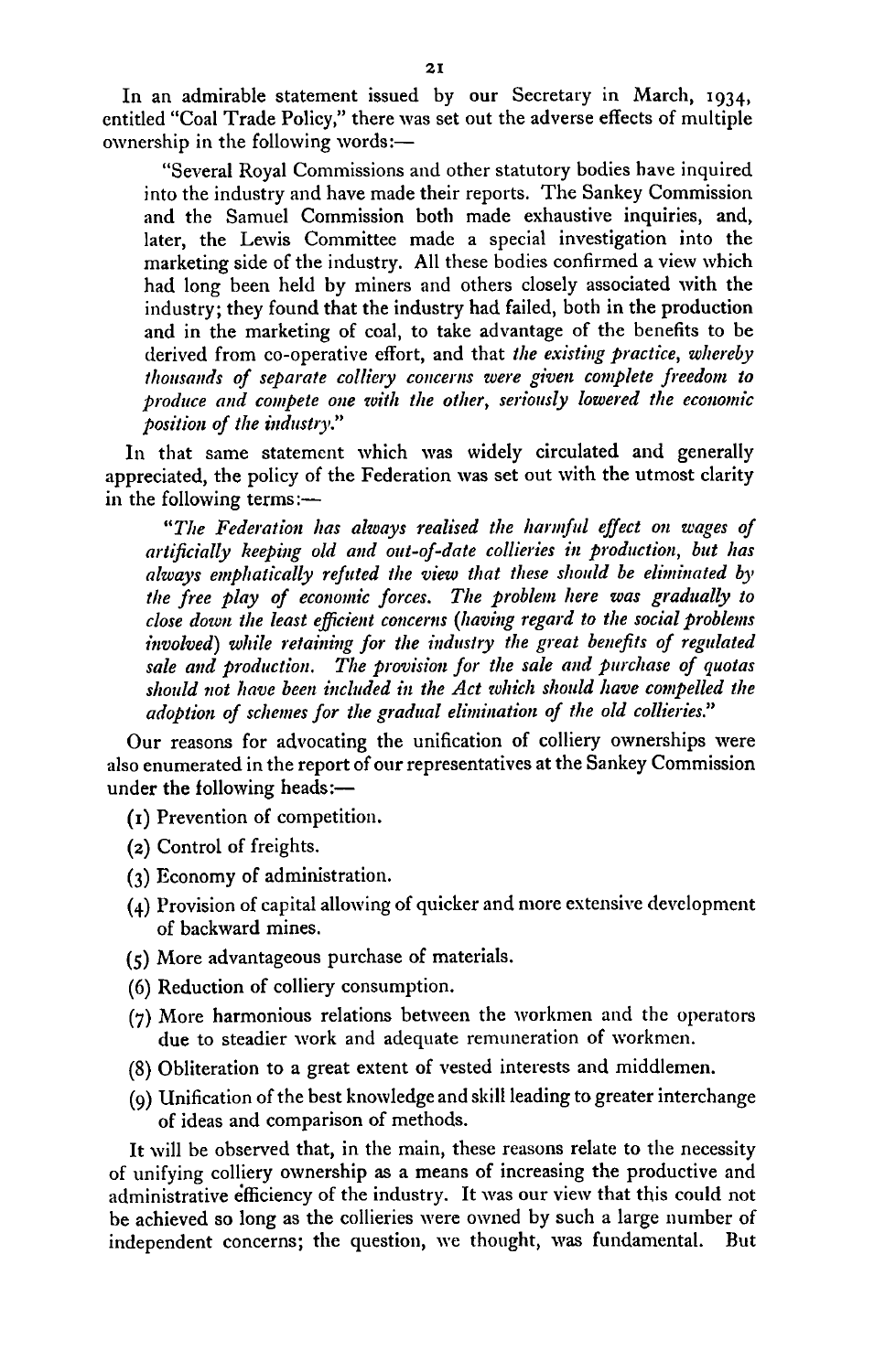In an admirable statement issued by our Secretary in March, 1934, entitled "Coal Trade Policy," there was set out the adverse effects of multiple ownership in the following words:—

"Several Royal Commissions and other statutory bodies have inquired into the industry and have made their reports. The Sankey Commission and the Samuel Commission both made exhaustive inquiries, and, later, the Lewis Committee made a special investigation into the marketing side of the industry. All these bodies confirmed a view which had long been held by miners and others closely associated with the industry; they found that the industry had failed, both in the production and in the marketing of coal, to take advantage of the benefits to be derived from co-operative effort, and that *the existing practice, whereby thousands of separate colliery concerns were given complete freedom to produce and compete one with the other, seriously lowered the economic position of the industry."* 

In that same statement which was widely circulated and generally appreciated, the policy of the Federation was set out with the utmost clarity in the following terms:—

"The Federation has always realised the harmful effect on wages of *artificially keeping old and out-of-date collieries in production, but has always emphatically refuted the view that these should be eliminated by*  the free play of economic forces. The problem here was gradually to *close down the least efficient concerns (having regard to the social problems involved) while retaining for the industry the great benefits of regulated sale and production. The provision for the sale and purchase of quotas should not have been included in the Act which should have compelled the adoption of schemes for the gradual elimination of the old collieries."* 

Our reasons for advocating the unification of colliery ownerships were also enumerated in the report of our representatives at the Sankey Commission under the following heads:-

- (i) Prevention of competition.
- (z) Control of freights.
- () Economy of administration.
- () Provision of capital allowing of quicker and more extensive development of backward mines.
- (5) More advantageous purchase of materials.
- (6) Reduction of colliery consumption.
- (7) More harmonious relations between the workmen and the operators due to steadier work and adequate remuneration of workmen.
- (8) Obliteration to a great extent of vested interests and middlemen.
- () Unification of the best knowledge and skill leading to greater interchange of ideas and comparison of methods.

It will be observed that, in the main, these reasons relate to the necessity of unifying colliery ownership as a means of increasing the productive and administrative efficiency of the industry. It was our view that this could not be achieved so long as the collieries were owned by such a large number of independent concerns; the question, we thought, was fundamental. But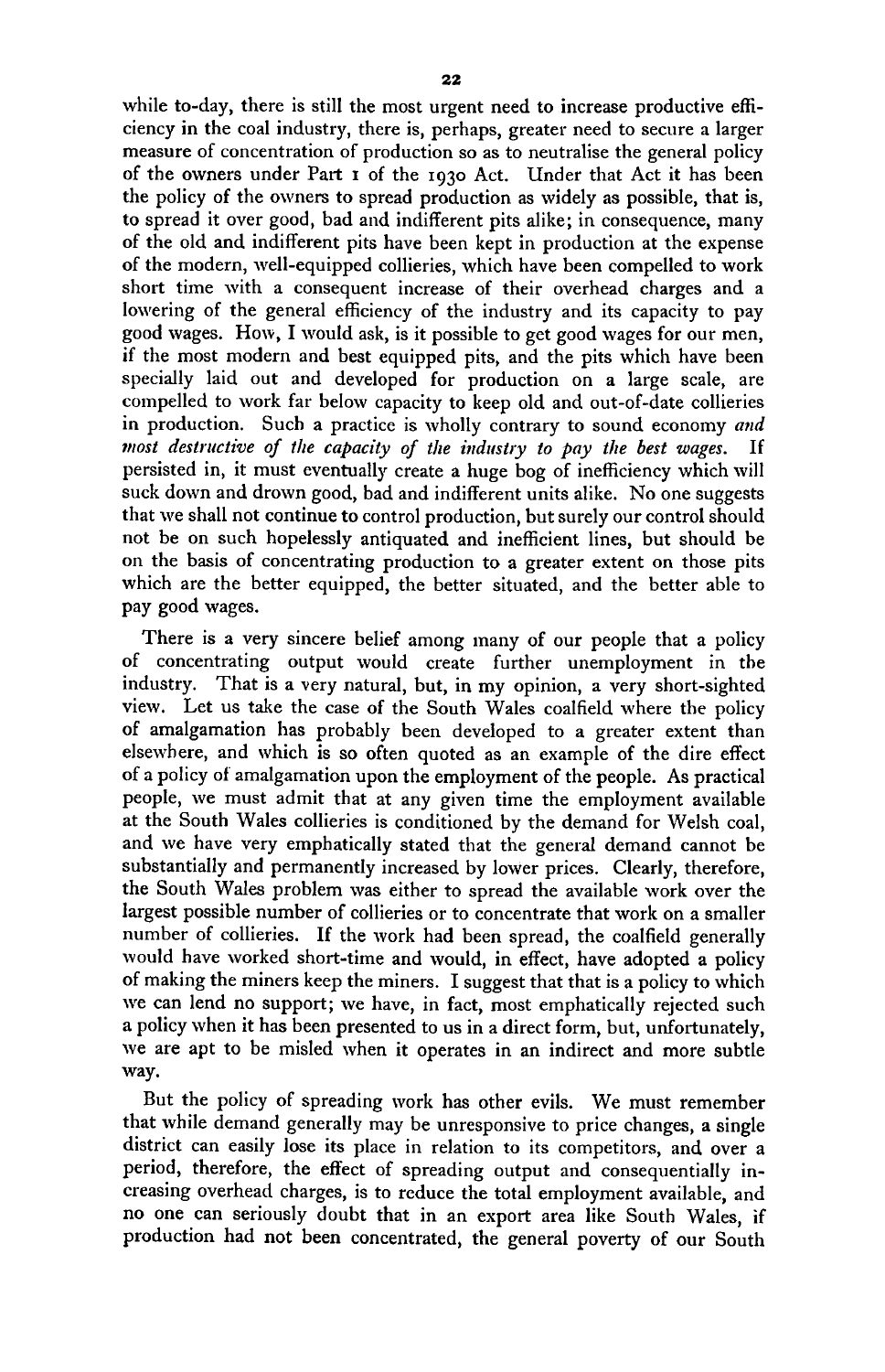while to-day, there is still the most urgent need to increase productive efficiency in the coal industry, there is, perhaps, greater need to secure a larger measure of concentration of production so as to neutralise the general policy of the owners under Part i of the 1930 Act. Under that Act it has been the policy of the owners to spread production as widely as possible, that is, to spread it over good, bad and indifferent pits alike; in consequence, many of the old and indifferent pits have been kept in production at the expense of the modern, well-equipped collieries, which have been compelled to work short time with a consequent increase of their overhead charges and a lowering of the general efficiency of the industry and its capacity to pay good wages. How, I would ask, is it possible to get good wages for our men, if the most modern and best equipped pits, and the pits which have been specially laid out and developed for production on a large scale, are compelled to work far below capacity to keep old and out-of-date collieries in production. Such a practice is wholly contrary to sound economy *and*  most destructive of the capacity of the industry to pay the best wages. If persisted in, it must eventually create a huge bog of inefficiency which will suck down and drown good, bad and indifferent units alike. No one suggests that we shall not continue to control production, but surely our control should not be on such hopelessly antiquated and inefficient lines, but should be on the basis of concentrating production to a greater extent on those pits which are the better equipped, the better situated, and the better able to pay good wages.

There is a very sincere belief among many of our people that a policy of concentrating output would create further unemployment in the industry. That is a very natural, but, in my opinion, a very short-sighted view. Let us take the case of the South Wales coalfield where the policy of amalgamation has probably been developed to a greater extent than elsewhere, and which is so often quoted as an example of the dire effect of a policy of amalgamation upon the employment of the people. As practical people, we must admit that at any given time the employment available at the South Wales collieries is conditioned by the demand for Welsh coal, and we have very emphatically stated that the general demand cannot be substantially and permanently increased by lower prices. Clearly, therefore, the South Wales problem was either to spread the available work over the largest possible number of collieries or to concentrate that work on a smaller number of collieries. If the work had been spread, the coalfield generally would have worked short-time and would, in effect, have adopted a policy of making the miners keep the miners. I suggest that that is a policy to which we can lend no support; we have, in fact, most emphatically rejected such a policy when it has been presented to us in a direct form, but, unfortunately, we are apt to be misled when it operates in an indirect and more subtle way.

But the policy of spreading work has other evils. We must remember that while demand generally may be unresponsive to price changes, a single district can easily lose its place in relation to its competitors, and over a period, therefore, the effect of spreading output and consequentially increasing overhead charges, is to reduce the total employment available, and no one can seriously doubt that in an export area like South Wales, if production had not been concentrated, the general poverty of our South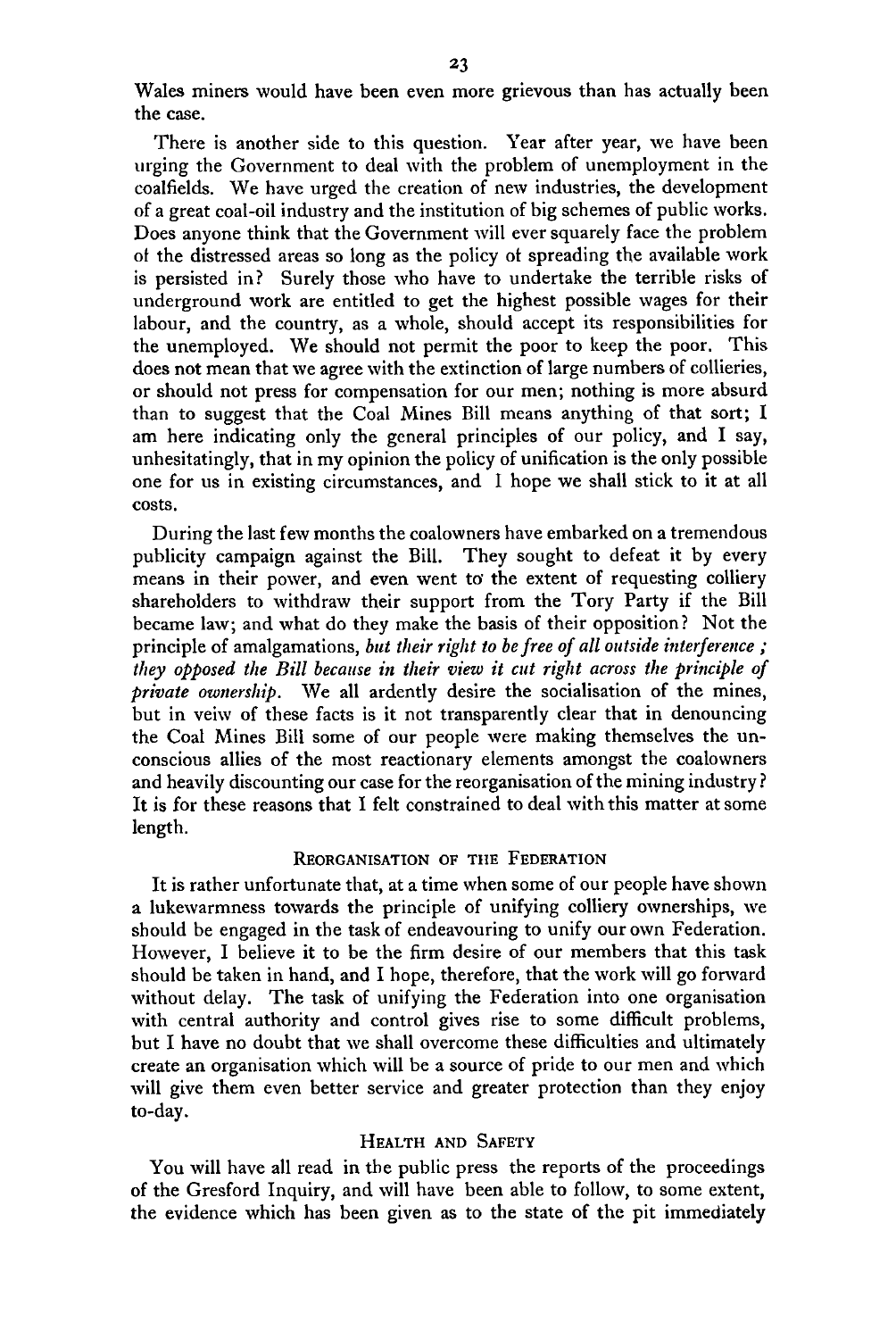Wales miners would have been even more grievous than has actually been the case.

There is another side to this question. Year after year, we have been urging the Government to deal with the problem of unemployment in the coalfields. We have urged the creation of new industries, the development of a great coal-oil industry and the institution of big schemes of public works. Does anyone think that the Government will ever squarely face the problem of the distressed areas so long as the policy of spreading the available work is persisted in? Surely those who have to undertake the terrible risks of underground work are entitled to get the highest possible wages for their labour, and the country, as a whole, should accept its responsibilities for the unemployed. We should not permit the poor to keep the poor. This does not mean that we agree with the extinction of large numbers of collieries, or should not press for compensation for our men; nothing is more absurd than to suggest that the Coal Mines Bill means anything of that sort; I am here indicating only the general principles of our policy, and I say, unhesitatingly, that in my opinion the policy of unification is the only possible one for us in existing circumstances, and I hope we shall stick to it at all costs.

During the last few months the coalowners have embarked on a tremendous publicity campaign against the Bill. They sought to defeat it by every means in their power, and even went to the extent of requesting colliery shareholders to withdraw their support from the Tory Party if the Bill became law; and what do they make the basis of their opposition? Not the *principle of amalgamations, but their rig/it to be free of all outside interference ; they opposed the Bill because in their view it cut right across the principle of private ownership.* We all ardently desire the socialisation of the mines, but in veiw of these facts is it not transparently clear that in denouncing the Coal Mines Bill some of our people were making themselves the unconscious allies of the most reactionary elements amongst the coalowners and heavily discounting our case for the reorganisation of the mining industry? It is for these reasons that I felt constrained to deal with this matter at some length.

## REORGANISATION OF THE FEDERATION

It is rather unfortunate that, at a time when some of our people have shown a lukewarmness towards the principle of unifying colliery ownerships, we should be engaged in the task of endeavouring to unify our own Federation. However, I believe it to be the firm desire of our members that this task should be taken in hand, and I hope, therefore, that the work will go forward without delay. The task of unifying the Federation into one organisation with central authority and control gives rise to some difficult problems, but I have no doubt that we shall overcome these difficulties and ultimately create an organisation which will be a source of pride to our men and which will give them even better service and greater protection than they enjoy to-day.

## HEALTH AND SAFETY

You will have all read in the public press the reports of the proceedings of the Gresford Inquiry, and will have been able to follow, to some extent, the evidence which has been given as to the state of the pit immediately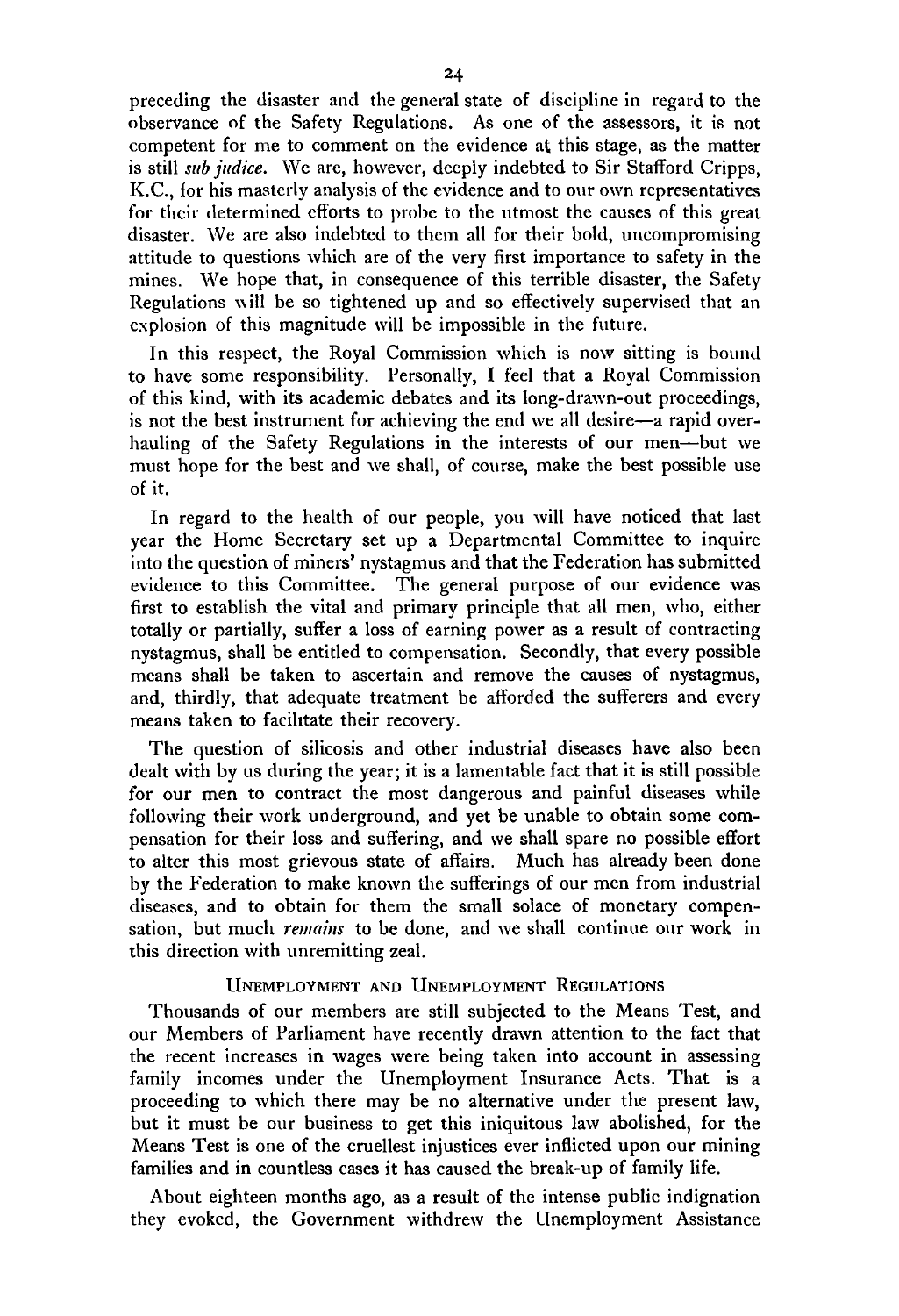preceding the disaster and the general state of discipline in regard to the observance of the Safety Regulations. As one of the assessors, it is not competent for me to comment on the evidence at this stage, as the matter is still *sub judice.* We are, however, deeply indebted to Sir Stafford Cripps, K.C., for his masterly analysis of the evidence and to our own representatives for their determined efforts to probe to the utmost the causes of this great disaster. We are also indebted to them all for their bold, uncompromising attitude to questions which are of the very first importance to safety in the mines. We hope that, in consequence of this terrible disaster, the Safety Regulations will be so tightened up and so effectively supervised that an explosion of this magnitude will be impossible in the future.

In this respect, the Royal Commission which is now sitting is bound to have some responsibility. Personally, I feel that a Royal Commission of this kind, with its academic debates and its long-drawn-out proceedings, is not the best instrument for achieving the end we all desire—a rapid overhauling of the Safety Regulations in the interests of our men—but we must hope for the best and we shall, of course, make the best possible use of it.

In regard to the health of our people, you will have noticed that last year the Home Secretary set up a Departmental Committee to inquire into the question of miners' nystagmus and that the Federation has submitted evidence to this Committee. The general purpose of our evidence was first to establish the vital and primary principle that all men, who, either totally or partially, suffer a loss of earning power as a result of contracting nystagmus, shall be entitled to compensation. Secondly, that every possible means shall be taken to ascertain and remove the causes of nystagmus, and, thirdly, that adequate treatment be afforded the sufferers and every means taken to facilitate their recovery.

The question of silicosis and other industrial diseases have also been dealt with by us during the year; it is a lamentable fact that it is still possible for our men to contract the most dangerous and painful diseases while following their work underground, and yet be unable to obtain some compensation for their loss and suffering, and we shall spare no possible effort to alter this most grievous state of affairs. Much has already been done by the Federation to make known the sufferings of our men from industrial diseases, and to obtain for them the small solace of monetary compensation, but much *remains* to be done, and we shall continue our work in this direction with unremitting zeal.

## UNEMPLOYMENT AND UNEMPLOYMENT REGULATIONS

Thousands of our members are still subjected to the Means Test, and our Members of Parliament have recently drawn attention to the fact that the recent increases in wages were being taken into account in assessing family incomes under the Unemployment Insurance Acts. That is a proceeding to which there may be no alternative under the present law, but it must be our business to get this iniquitous law abolished, for the Means Test is one of the cruellest injustices ever inflicted upon our mining families and in countless cases it has caused the break-up of family life.

About eighteen months ago, as a result of the intense public indignation they evoked, the Government withdrew the Unemployment Assistance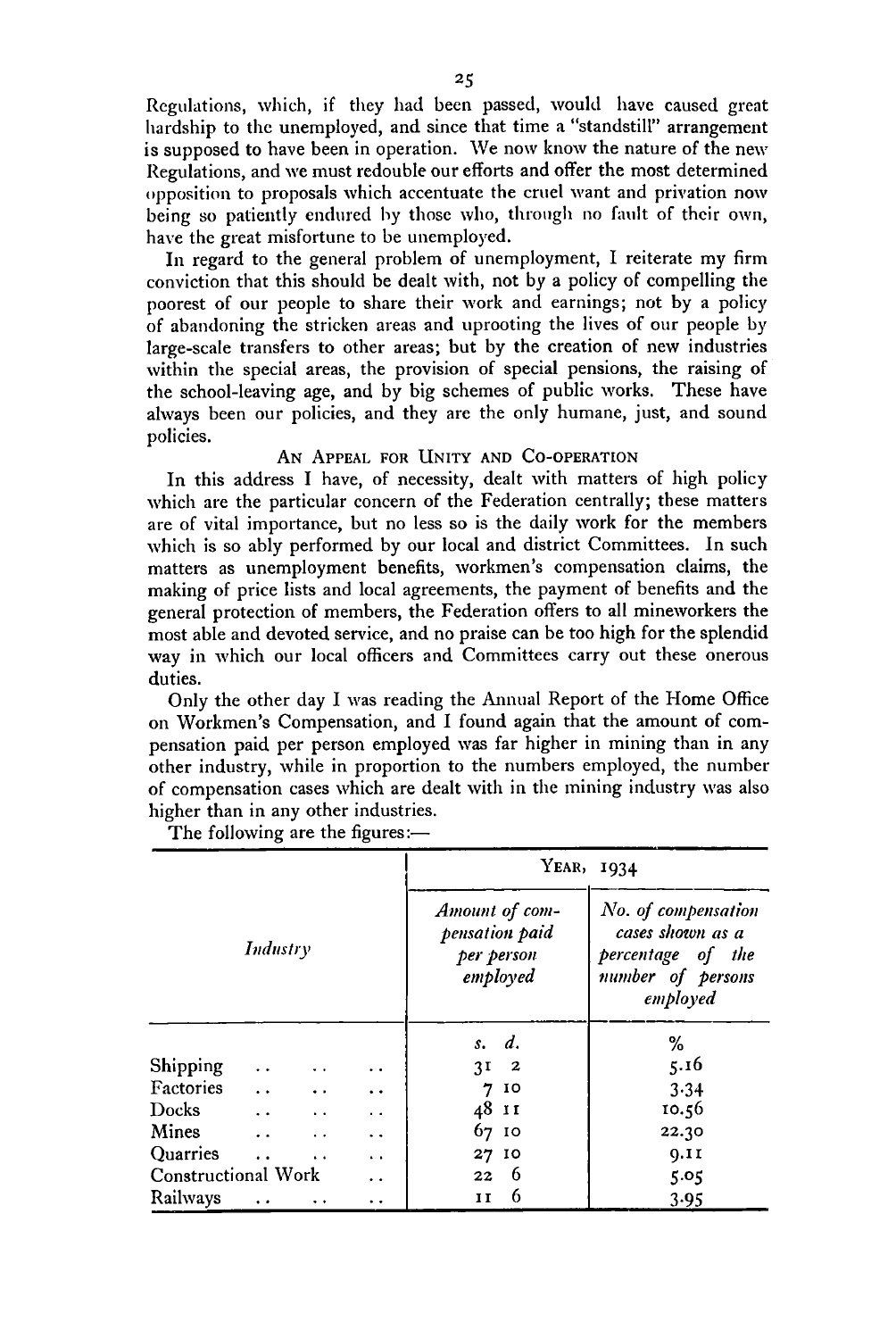Regulations, which, if they had been passed, would have caused great hardship to the unemployed, and since that time a "standstill" arrangement is supposed to have been in operation. We *now* know the nature of the new Regulations, and we must redouble our efforts and offer the most determined opposition to proposals which accentuate the cruel want and privation now being so patiently endured by those who, through no fault of their own, have the great misfortune to be unemployed.

In regard to the general problem of unemployment, I reiterate my firm conviction that this should be dealt with, not by a policy of compelling the poorest of our people to share their work and earnings; not by a policy of abandoning the stricken areas and uprooting the lives of our people by large-scale transfers to other areas; but by the creation of new industries within the special areas, the provision of special pensions, the raising of the school-leaving age, and by big schemes of public works. These have always been our policies, and they are the only humane, just, and sound policies.

## AN APPEAL FOR UNITY AND CO-OPERATION

In this address I have, of necessity, dealt with matters of high policy which are the particular concern of the Federation centrally; these matters are of vital importance, but no less so is the daily work for the members which is so ably performed by our local and district Committees. In such matters as unemployment benefits, workmen's compensation claims, the making of price lists and local agreements, the payment of benefits and the general protection of members, the Federation offers to all mineworkers the most able and devoted service, and no praise can be too high for the splendid way in which our local officers and Committees carry out these onerous duties.

Only the other day I was reading the Annual Report of the Home Office on Workmen's Compensation, and I found again that the amount of compensation paid per person employed was far higher in mining than in any other industry, while in proportion to the numbers employed, the number of compensation cases which are dealt with in the mining industry was also higher than in any other industries.

The following are the figures:—

|                                                    |                      |                      |                      | YEAR, 1934                                                 |                                                                                               |
|----------------------------------------------------|----------------------|----------------------|----------------------|------------------------------------------------------------|-----------------------------------------------------------------------------------------------|
|                                                    | Industry             |                      |                      | Amount of com-<br>pensation paid<br>per person<br>employed | No. of compensation<br>cases shown as a<br>percentage of the<br>number of persons<br>employed |
|                                                    |                      |                      |                      | s. d.                                                      | %                                                                                             |
| Shipping                                           | $\ddot{\phantom{0}}$ |                      | $\ddot{\phantom{0}}$ | 3 <sub>I</sub><br>2                                        | 5.16                                                                                          |
| Factories                                          |                      | $\ddot{\phantom{0}}$ | $\ddot{\phantom{0}}$ | 10<br>7                                                    | 3.34                                                                                          |
| Docks                                              | $\ddot{\phantom{0}}$ | . .                  | $\ddot{\phantom{1}}$ | 48 11                                                      | 10.56                                                                                         |
| Mines                                              | . .                  | . .                  | $\ddot{\phantom{a}}$ | 67 10                                                      | 22.30                                                                                         |
| Quarries                                           |                      |                      | $\ddot{\phantom{1}}$ | 27 10                                                      | 0.11                                                                                          |
| <b>Constructional Work</b><br>$\ddot{\phantom{0}}$ |                      |                      |                      | 6<br>22                                                    | 5.05                                                                                          |
| Railways                                           | $\ddot{\phantom{0}}$ |                      | . .                  | 6<br>11                                                    | 3.95                                                                                          |